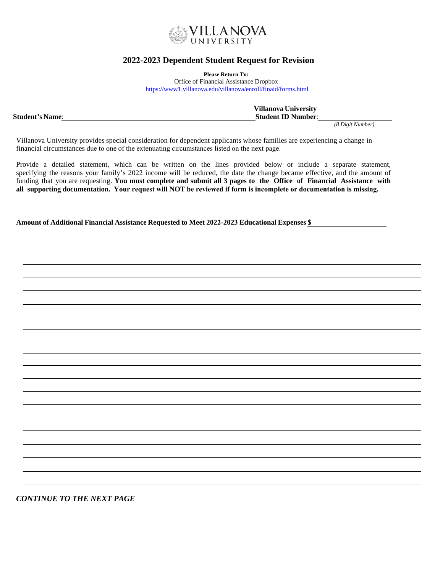

# **2022-2023 Dependent Student Request for Revision**

**Please Return To:**

Office of Financial Assistance Dropbox <https://www1.villanova.edu/villanova/enroll/finaid/forms.html>

**Villanova University Student's Name**: **Student's Number**: **Student** 

*(8 Digit Number)*

Villanova University provides special consideration for dependent applicants whose families are experiencing a change in financial circumstances due to one of the extenuating circumstances listed on the next page.

Provide a detailed statement, which can be written on the lines provided below or include a separate statement, specifying the reasons your family's 2022 income will be reduced, the date the change became effective, and the amount of funding that you are requesting. **You must complete and submit all 3 pages to the Office of Financial Assistance with all supporting documentation. Your request will NOT be reviewed if form is incomplete or documentation is missing.**

**Amount of Additional Financial Assistance Requested to Meet 2022-2023 Educational Expenses \$** 

*CONTINUE TO THE NEXT PAGE*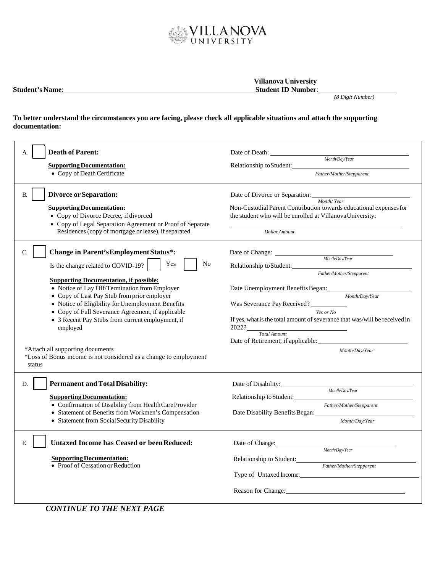

7

| <b>Student's Name:</b> | <b>Villanova University</b><br><b>Student ID Number:</b> |                  |
|------------------------|----------------------------------------------------------|------------------|
|                        |                                                          | (8 Digit Number) |

## **To better understand the circumstances you are facing, please check all applicable situations and attach the supporting documentation:**

| <b>Death of Parent:</b><br>A.                                                                                                                                                                                                                                                                                                                                                                                                               | Date of Death:                                                                                                                                                                                                                                                                                                                                            |  |  |
|---------------------------------------------------------------------------------------------------------------------------------------------------------------------------------------------------------------------------------------------------------------------------------------------------------------------------------------------------------------------------------------------------------------------------------------------|-----------------------------------------------------------------------------------------------------------------------------------------------------------------------------------------------------------------------------------------------------------------------------------------------------------------------------------------------------------|--|--|
| <b>Supporting Documentation:</b>                                                                                                                                                                                                                                                                                                                                                                                                            | Month/Day/Year<br>Relationship to Student:                                                                                                                                                                                                                                                                                                                |  |  |
| • Copy of Death Certificate                                                                                                                                                                                                                                                                                                                                                                                                                 | Father/Mother/Stepparent                                                                                                                                                                                                                                                                                                                                  |  |  |
| <b>Divorce or Separation:</b><br><b>B.</b><br><b>Supporting Documentation:</b><br>• Copy of Divorce Decree, if divorced<br>• Copy of Legal Separation Agreement or Proof of Separate<br>Residences (copy of mortgage or lease), if separated                                                                                                                                                                                                | Date of Divorce or Separation: Month/Year<br>Non-Custodial Parent Contribution towards educational expenses for<br>the student who will be enrolled at Villanova University:<br>Dollar Amount                                                                                                                                                             |  |  |
| $\mathsf{C}$<br><b>Change in Parent's Employment Status*:</b><br>No<br>Yes<br>Is the change related to COVID-19?<br><b>Supporting Documentation, if possible:</b><br>• Notice of Lay Off/Termination from Employer<br>• Copy of Last Pay Stub from prior employer<br>• Notice of Eligibility for Unemployment Benefits<br>• Copy of Full Severance Agreement, if applicable<br>• 3 Recent Pay Stubs from current employment, if<br>employed | Date of Change: <u>Month/DayYear</u><br>Relationship to Student:<br>Father/Mother/Stepparent<br>Month/Dav/Year<br>Was Severance Pay Received?<br>Yes or No<br>If yes, what is the total amount of severance that was/will be received in<br>2022?<br>$\begin{tabular}{c} Total Amount \end{tabular}$<br>Date of Retirement, if applicable:                |  |  |
| *Attach all supporting documents<br>*Loss of Bonus income is not considered as a change to employment<br>status                                                                                                                                                                                                                                                                                                                             | Month/Day/Year                                                                                                                                                                                                                                                                                                                                            |  |  |
| <b>Permanent and Total Disability:</b><br>D.<br><b>Supporting Documentation:</b><br>• Confirmation of Disability from Health Care Provider<br>• Statement of Benefits from Workmen's Compensation<br>• Statement from Social Security Disability                                                                                                                                                                                            | Month/Day/Year<br>Relationship to Student:<br>Father/Mother/Stepparent<br>Date Disability Benefits Began:<br>Month/Day/Year                                                                                                                                                                                                                               |  |  |
| <b>Untaxed Income has Ceased or been Reduced:</b><br>E<br><b>Supporting Documentation:</b><br>• Proof of Cessation or Reduction                                                                                                                                                                                                                                                                                                             | Date of Change: National Change of Change and Change of Change and Change of Change and Change and Change and Change and Change and Change and Change and Change and Change and Change and Change and Change and Change and Ch<br>Month/Day/Year<br>Relationship to Student:<br>Father/Mother/Stepparent<br>Type of Untaxed Income:<br>Reason for Change: |  |  |

*CONTINUE TO THE NEXT PAGE*

 $\mathsf{r}$